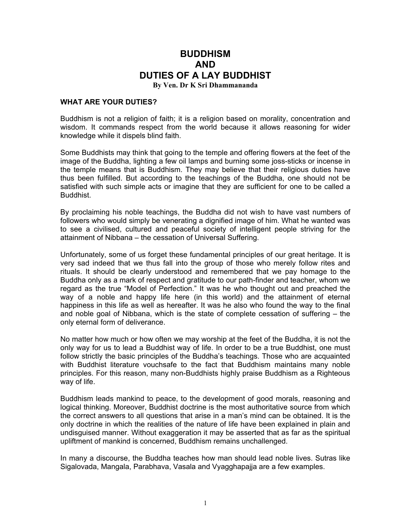## **BUDDHISM AND DUTIES OF A LAY BUDDHIST By Ven. Dr K Sri Dhammananda**

## **WHAT ARE YOUR DUTIES?**

Buddhism is not a religion of faith; it is a religion based on morality, concentration and wisdom. It commands respect from the world because it allows reasoning for wider knowledge while it dispels blind faith.

Some Buddhists may think that going to the temple and offering flowers at the feet of the image of the Buddha, lighting a few oil lamps and burning some joss-sticks or incense in the temple means that is Buddhism. They may believe that their religious duties have thus been fulfilled. But according to the teachings of the Buddha, one should not be satisfied with such simple acts or imagine that they are sufficient for one to be called a Buddhist.

By proclaiming his noble teachings, the Buddha did not wish to have vast numbers of followers who would simply be venerating a dignified image of him. What he wanted was to see a civilised, cultured and peaceful society of intelligent people striving for the attainment of Nibbana – the cessation of Universal Suffering.

Unfortunately, some of us forget these fundamental principles of our great heritage. It is very sad indeed that we thus fall into the group of those who merely follow rites and rituals. It should be clearly understood and remembered that we pay homage to the Buddha only as a mark of respect and gratitude to our path-finder and teacher, whom we regard as the true "Model of Perfection." It was he who thought out and preached the way of a noble and happy life here (in this world) and the attainment of eternal happiness in this life as well as hereafter. It was he also who found the way to the final and noble goal of Nibbana, which is the state of complete cessation of suffering – the only eternal form of deliverance.

No matter how much or how often we may worship at the feet of the Buddha, it is not the only way for us to lead a Buddhist way of life. In order to be a true Buddhist, one must follow strictly the basic principles of the Buddha's teachings. Those who are acquainted with Buddhist literature vouchsafe to the fact that Buddhism maintains many noble principles. For this reason, many non-Buddhists highly praise Buddhism as a Righteous way of life.

Buddhism leads mankind to peace, to the development of good morals, reasoning and logical thinking. Moreover, Buddhist doctrine is the most authoritative source from which the correct answers to all questions that arise in a man's mind can be obtained. It is the only doctrine in which the realities of the nature of life have been explained in plain and undisguised manner. Without exaggeration it may be asserted that as far as the spiritual upliftment of mankind is concerned, Buddhism remains unchallenged.

In many a discourse, the Buddha teaches how man should lead noble lives. Sutras like Sigalovada, Mangala, Parabhava, Vasala and Vyagghapajja are a few examples.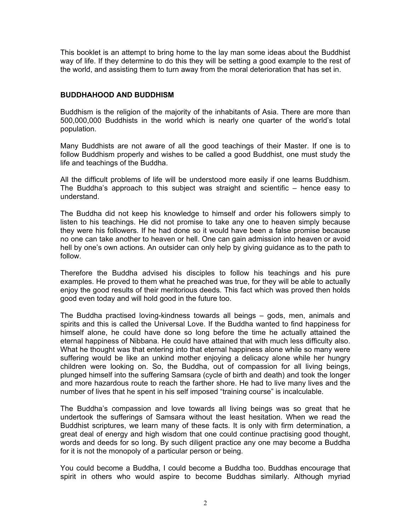This booklet is an attempt to bring home to the lay man some ideas about the Buddhist way of life. If they determine to do this they will be setting a good example to the rest of the world, and assisting them to turn away from the moral deterioration that has set in.

## **BUDDHAHOOD AND BUDDHISM**

Buddhism is the religion of the majority of the inhabitants of Asia. There are more than 500,000,000 Buddhists in the world which is nearly one quarter of the world's total population.

Many Buddhists are not aware of all the good teachings of their Master. If one is to follow Buddhism properly and wishes to be called a good Buddhist, one must study the life and teachings of the Buddha.

All the difficult problems of life will be understood more easily if one learns Buddhism. The Buddha's approach to this subject was straight and scientific – hence easy to understand.

The Buddha did not keep his knowledge to himself and order his followers simply to listen to his teachings. He did not promise to take any one to heaven simply because they were his followers. If he had done so it would have been a false promise because no one can take another to heaven or hell. One can gain admission into heaven or avoid hell by one's own actions. An outsider can only help by giving guidance as to the path to follow.

Therefore the Buddha advised his disciples to follow his teachings and his pure examples. He proved to them what he preached was true, for they will be able to actually enjoy the good results of their meritorious deeds. This fact which was proved then holds good even today and will hold good in the future too.

The Buddha practised loving-kindness towards all beings – gods, men, animals and spirits and this is called the Universal Love. If the Buddha wanted to find happiness for himself alone, he could have done so long before the time he actually attained the eternal happiness of Nibbana. He could have attained that with much less difficulty also. What he thought was that entering into that eternal happiness alone while so many were suffering would be like an unkind mother enjoying a delicacy alone while her hungry children were looking on. So, the Buddha, out of compassion for all living beings, plunged himself into the suffering Samsara (cycle of birth and death) and took the longer and more hazardous route to reach the farther shore. He had to live many lives and the number of lives that he spent in his self imposed "training course" is incalculable.

The Buddha's compassion and love towards all living beings was so great that he undertook the sufferings of Samsara without the least hesitation. When we read the Buddhist scriptures, we learn many of these facts. It is only with firm determination, a great deal of energy and high wisdom that one could continue practising good thought, words and deeds for so long. By such diligent practice any one may become a Buddha for it is not the monopoly of a particular person or being.

You could become a Buddha, I could become a Buddha too. Buddhas encourage that spirit in others who would aspire to become Buddhas similarly. Although myriad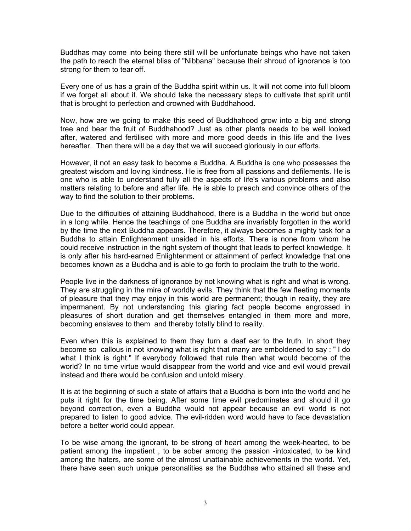Buddhas may come into being there still will be unfortunate beings who have not taken the path to reach the eternal bliss of "Nibbana" because their shroud of ignorance is too strong for them to tear off.

Every one of us has a grain of the Buddha spirit within us. It will not come into full bloom if we forget all about it. We should take the necessary steps to cultivate that spirit until that is brought to perfection and crowned with Buddhahood.

Now, how are we going to make this seed of Buddhahood grow into a big and strong tree and bear the fruit of Buddhahood? Just as other plants needs to be well looked after, watered and fertilised with more and more good deeds in this life and the lives hereafter. Then there will be a day that we will succeed gloriously in our efforts.

However, it not an easy task to become a Buddha. A Buddha is one who possesses the greatest wisdom and loving kindness. He is free from all passions and defilements. He is one who is able to understand fully all the aspects of life's various problems and also matters relating to before and after life. He is able to preach and convince others of the way to find the solution to their problems.

Due to the difficulties of attaining Buddhahood, there is a Buddha in the world but once in a long while. Hence the teachings of one Buddha are invariably forgotten in the world by the time the next Buddha appears. Therefore, it always becomes a mighty task for a Buddha to attain Enlightenment unaided in his efforts. There is none from whom he could receive instruction in the right system of thought that leads to perfect knowledge. It is only after his hard-earned Enlightenment or attainment of perfect knowledge that one becomes known as a Buddha and is able to go forth to proclaim the truth to the world.

People live in the darkness of ignorance by not knowing what is right and what is wrong. They are struggling in the mire of worldly evils. They think that the few fleeting moments of pleasure that they may enjoy in this world are permanent; though in reality, they are impermanent. By not understanding this glaring fact people become engrossed in pleasures of short duration and get themselves entangled in them more and more, becoming enslaves to them and thereby totally blind to reality.

Even when this is explained to them they turn a deaf ear to the truth. In short they become so callous in not knowing what is right that many are emboldened to say : " I do what I think is right." If everybody followed that rule then what would become of the world? In no time virtue would disappear from the world and vice and evil would prevail instead and there would be confusion and untold misery.

It is at the beginning of such a state of affairs that a Buddha is born into the world and he puts it right for the time being. After some time evil predominates and should it go beyond correction, even a Buddha would not appear because an evil world is not prepared to listen to good advice. The evil-ridden word would have to face devastation before a better world could appear.

To be wise among the ignorant, to be strong of heart among the week-hearted, to be patient among the impatient , to be sober among the passion -intoxicated, to be kind among the haters, are some of the almost unattainable achievements in the world. Yet, there have seen such unique personalities as the Buddhas who attained all these and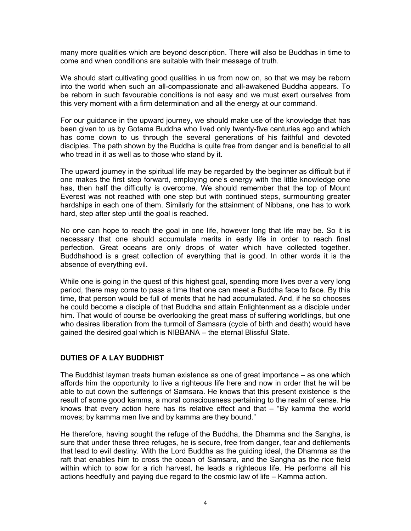many more qualities which are beyond description. There will also be Buddhas in time to come and when conditions are suitable with their message of truth.

We should start cultivating good qualities in us from now on, so that we may be reborn into the world when such an all-compassionate and all-awakened Buddha appears. To be reborn in such favourable conditions is not easy and we must exert ourselves from this very moment with a firm determination and all the energy at our command.

For our guidance in the upward journey, we should make use of the knowledge that has been given to us by Gotama Buddha who lived only twenty-five centuries ago and which has come down to us through the several generations of his faithful and devoted disciples. The path shown by the Buddha is quite free from danger and is beneficial to all who tread in it as well as to those who stand by it.

The upward journey in the spiritual life may be regarded by the beginner as difficult but if one makes the first step forward, employing one's energy with the little knowledge one has, then half the difficulty is overcome. We should remember that the top of Mount Everest was not reached with one step but with continued steps, surmounting greater hardships in each one of them. Similarly for the attainment of Nibbana, one has to work hard, step after step until the goal is reached.

No one can hope to reach the goal in one life, however long that life may be. So it is necessary that one should accumulate merits in early life in order to reach final perfection. Great oceans are only drops of water which have collected together. Buddhahood is a great collection of everything that is good. In other words it is the absence of everything evil.

While one is going in the quest of this highest goal, spending more lives over a very long period, there may come to pass a time that one can meet a Buddha face to face. By this time, that person would be full of merits that he had accumulated. And, if he so chooses he could become a disciple of that Buddha and attain Enlightenment as a disciple under him. That would of course be overlooking the great mass of suffering worldlings, but one who desires liberation from the turmoil of Samsara (cycle of birth and death) would have gained the desired goal which is NIBBANA – the eternal Blissful State.

## **DUTIES OF A LAY BUDDHIST**

The Buddhist layman treats human existence as one of great importance – as one which affords him the opportunity to live a righteous life here and now in order that he will be able to cut down the sufferings of Samsara. He knows that this present existence is the result of some good kamma, a moral consciousness pertaining to the realm of sense. He knows that every action here has its relative effect and that – "By kamma the world moves; by kamma men live and by kamma are they bound."

He therefore, having sought the refuge of the Buddha, the Dhamma and the Sangha, is sure that under these three refuges, he is secure, free from danger, fear and defilements that lead to evil destiny. With the Lord Buddha as the guiding ideal, the Dhamma as the raft that enables him to cross the ocean of Samsara, and the Sangha as the rice field within which to sow for a rich harvest, he leads a righteous life. He performs all his actions heedfully and paying due regard to the cosmic law of life – Kamma action.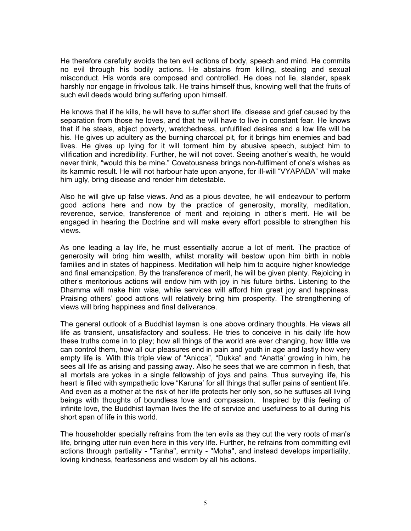He therefore carefully avoids the ten evil actions of body, speech and mind. He commits no evil through his bodily actions. He abstains from killing, stealing and sexual misconduct. His words are composed and controlled. He does not lie, slander, speak harshly nor engage in frivolous talk. He trains himself thus, knowing well that the fruits of such evil deeds would bring suffering upon himself.

He knows that if he kills, he will have to suffer short life, disease and grief caused by the separation from those he loves, and that he will have to live in constant fear. He knows that if he steals, abject poverty, wretchedness, unfulfilled desires and a low life will be his. He gives up adultery as the burning charcoal pit, for it brings him enemies and bad lives. He gives up lying for it will torment him by abusive speech, subject him to vilification and incredibility. Further, he will not covet. Seeing another's wealth, he would never think, "would this be mine." Covetousness brings non-fulfilment of one's wishes as its kammic result. He will not harbour hate upon anyone, for ill-will "VYAPADA" will make him ugly, bring disease and render him detestable.

Also he will give up false views. And as a pious devotee, he will endeavour to perform good actions here and now by the practice of generosity, morality, meditation, reverence, service, transference of merit and rejoicing in other's merit. He will be engaged in hearing the Doctrine and will make every effort possible to strengthen his views.

As one leading a lay life, he must essentially accrue a lot of merit. The practice of generosity will bring him wealth, whilst morality will bestow upon him birth in noble families and in states of happiness. Meditation will help him to acquire higher knowledge and final emancipation. By the transference of merit, he will be given plenty. Rejoicing in other's meritorious actions will endow him with joy in his future births. Listening to the Dhamma will make him wise, while services will afford him great joy and happiness. Praising others' good actions will relatively bring him prosperity. The strengthening of views will bring happiness and final deliverance.

The general outlook of a Buddhist layman is one above ordinary thoughts. He views all life as transient, unsatisfactory and soulless. He tries to conceive in his daily life how these truths come in to play; how all things of the world are ever changing, how little we can control them, how all our pleasures end in pain and youth in age and lastly how very empty life is. With this triple view of "Anicca", "Dukka" and "Anatta' growing in him, he sees all life as arising and passing away. Also he sees that we are common in flesh, that all mortals are yokes in a single fellowship of joys and pains. Thus surveying life, his heart is filled with sympathetic love "Karuna' for all things that suffer pains of sentient life. And even as a mother at the risk of her life protects her only son, so he suffuses all living beings with thoughts of boundless love and compassion. Inspired by this feeling of infinite love, the Buddhist layman lives the life of service and usefulness to all during his short span of life in this world.

The householder specially refrains from the ten evils as they cut the very roots of man's life, bringing utter ruin even here in this very life. Further, he refrains from committing evil actions through partiality - "Tanha", enmity - "Moha", and instead develops impartiality, loving kindness, fearlessness and wisdom by all his actions.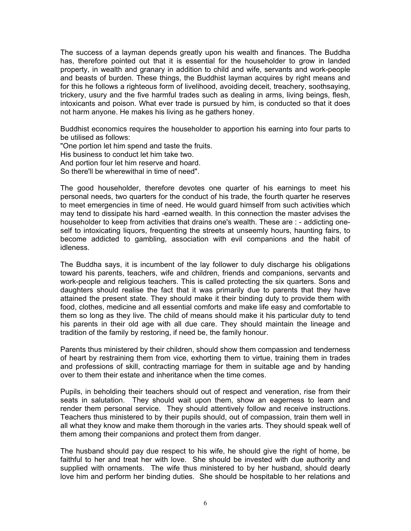The success of a layman depends greatly upon his wealth and finances. The Buddha has, therefore pointed out that it is essential for the householder to grow in landed property, in wealth and granary in addition to child and wife, servants and work-people and beasts of burden. These things, the Buddhist layman acquires by right means and for this he follows a righteous form of livelihood, avoiding deceit, treachery, soothsaying, trickery, usury and the five harmful trades such as dealing in arms, living beings, flesh, intoxicants and poison. What ever trade is pursued by him, is conducted so that it does not harm anyone. He makes his living as he gathers honey.

Buddhist economics requires the householder to apportion his earning into four parts to be utilised as follows:

"One portion let him spend and taste the fruits. His business to conduct let him take two. And portion four let him reserve and hoard. So there'll be wherewithal in time of need".

The good householder, therefore devotes one quarter of his earnings to meet his personal needs, two quarters for the conduct of his trade, the fourth quarter he reserves to meet emergencies in time of need. He would guard himself from such activities which may tend to dissipate his hard -earned wealth. In this connection the master advises the householder to keep from activities that drains one's wealth. These are : - addicting oneself to intoxicating liquors, frequenting the streets at unseemly hours, haunting fairs, to become addicted to gambling, association with evil companions and the habit of idleness.

The Buddha says, it is incumbent of the lay follower to duly discharge his obligations toward his parents, teachers, wife and children, friends and companions, servants and work-people and religious teachers. This is called protecting the six quarters. Sons and daughters should realise the fact that it was primarily due to parents that they have attained the present state. They should make it their binding duty to provide them with food, clothes, medicine and all essential comforts and make life easy and comfortable to them so long as they live. The child of means should make it his particular duty to tend his parents in their old age with all due care. They should maintain the lineage and tradition of the family by restoring, if need be, the family honour.

Parents thus ministered by their children, should show them compassion and tenderness of heart by restraining them from vice, exhorting them to virtue, training them in trades and professions of skill, contracting marriage for them in suitable age and by handing over to them their estate and inheritance when the time comes.

Pupils, in beholding their teachers should out of respect and veneration, rise from their seats in salutation. They should wait upon them, show an eagerness to learn and render them personal service. They should attentively follow and receive instructions. Teachers thus ministered to by their pupils should, out of compassion, train them well in all what they know and make them thorough in the varies arts. They should speak well of them among their companions and protect them from danger.

The husband should pay due respect to his wife, he should give the right of home, be faithful to her and treat her with love. She should be invested with due authority and supplied with ornaments. The wife thus ministered to by her husband, should dearly love him and perform her binding duties. She should be hospitable to her relations and